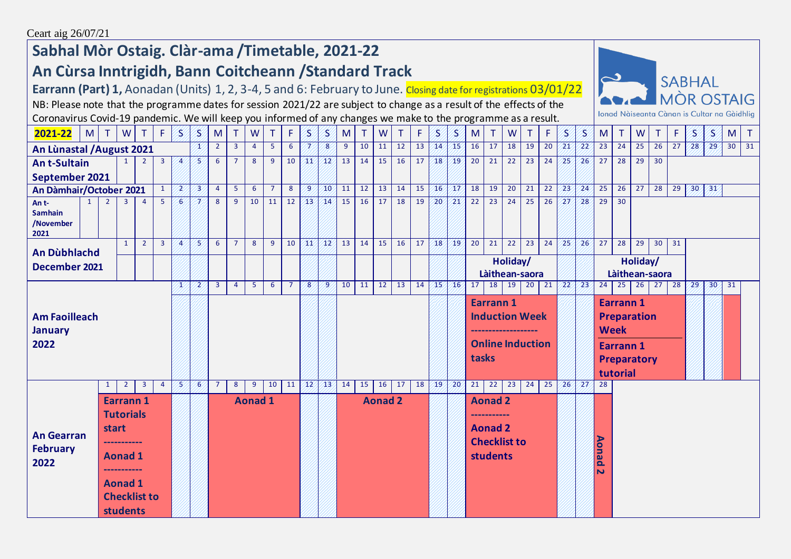## **Sabhal Mòr Ostaig. Clàr-ama /Timetable, 2021-22**

## **An Cùrsa Inntrigidh, Bann Coitcheann /Standard Track**

**Earrann (Part) 1,** Aonadan (Units) 1, 2, 3-4, 5 and 6: February to June. Closing date for registrations 03/01/22



NB: Please note that the programme dates for session 2021/22 are subject to change as a result of the effects of the Coronavirus Covid-19 pandemic. We will keep you informed of any changes we make to the programme as a result.

| 2021-22<br>M                                                                                                                                                                          |  | $\top$       | W              | $\top$         | F              | S              | $\mathcal{S}$  | M              | $\top$         | ${\sf W}$      | T.             | F.              | S            | S               | M              | T               | W     | T               | F               | S               | S                                                   | M                   | $\top$                                           | W               | $\top$          | F.              | S                                | S               | M                                                                                          | $\mathsf{T}$    | W               | T               | F  | $\mathbf S$     | S,              |                 | M T |
|---------------------------------------------------------------------------------------------------------------------------------------------------------------------------------------|--|--------------|----------------|----------------|----------------|----------------|----------------|----------------|----------------|----------------|----------------|-----------------|--------------|-----------------|----------------|-----------------|-------|-----------------|-----------------|-----------------|-----------------------------------------------------|---------------------|--------------------------------------------------|-----------------|-----------------|-----------------|----------------------------------|-----------------|--------------------------------------------------------------------------------------------|-----------------|-----------------|-----------------|----|-----------------|-----------------|-----------------|-----|
| An Lùnastal / August 2021                                                                                                                                                             |  |              |                |                |                | x              | $2^{\circ}$    | $\overline{3}$ | $\overline{4}$ | 5 <sup>1</sup> | 6 <sup>1</sup> | 7               | 8            | 9               | 10             | 11              | 12    | 13              | 14/15           |                 | 16                                                  | 17                  | $\overline{18}$                                  | 19              | 20              | 21/             | 22 <sup>2</sup>                  | 23              | 24                                                                                         | 25              | 26              | $\overline{27}$ | 28 | 29              |                 | $30 \mid 31$    |     |
| $\overline{2}$<br>$\overline{3}$<br><b>An t-Sultain</b>                                                                                                                               |  |              | $\overline{A}$ | B              | 6              | $\overline{7}$ | 8              | 9              | 10             | 41             | $\sqrt{12}$    | 13              | 14           | 15              | 16             | 17              | 18    | 19              | 20              | 21              | 22                                                  | 23                  | 24                                               | 25'             | 26/             | 27              | 28                               | 29              | 30                                                                                         |                 |                 |                 |    |                 |                 |                 |     |
| September 2021                                                                                                                                                                        |  |              |                |                |                |                |                |                |                |                |                |                 |              |                 |                |                 |       |                 |                 |                 |                                                     |                     |                                                  |                 |                 |                 |                                  |                 |                                                                                            |                 |                 |                 |    |                 |                 |                 |     |
| $\mathbf{1}$<br>An Dàmhair/October 2021                                                                                                                                               |  |              | 2              | 73             | $\overline{4}$ | 5 <sup>5</sup> | 6              | $\overline{7}$ | 8              | $\overline{9}$ | 40             | $\overline{11}$ | 12           | 13              | 14             | 15              | 16/17 |                 | $\overline{18}$ | $\overline{19}$ | 20                                                  | 21                  | 22                                               | 23 <sup>7</sup> | 24/             | $\overline{25}$ | $\overline{26}$                  | $\overline{27}$ | 28                                                                                         | $\overline{29}$ | 30 <sub>2</sub> | 31              |    |                 |                 |                 |     |
| 5<br>2<br>3<br>$\overline{4}$<br>An t-<br><b>Samhain</b><br>/November<br>2021                                                                                                         |  |              |                | 6              |                | 8              | 9              | 10             | 11             | 12             | 43             | 14              | 15           | 16              | 17             | 18              | 19    | 20 <sup>7</sup> | 21              | 22              | 23                                                  | 24                  | 25                                               | 26              | 27'             | 28              | 29                               | 30              |                                                                                            |                 |                 |                 |    |                 |                 |                 |     |
| An Dùbhlachd                                                                                                                                                                          |  |              | 1              | $\overline{2}$ | $\overline{3}$ | $\overline{4}$ | 75             | 6              | $\overline{7}$ | 8              | 9              | 10              | 41           | 12 <sup>7</sup> | 13             | 14              | 15    | 16              | 17              | 18              | 19                                                  | $\overline{20}$     | $\overline{21}$                                  | $\overline{22}$ | $\overline{23}$ | 24              | 25 <sup>°</sup>                  | 26/             | $\overline{27}$                                                                            | 28              | 29              | 30              | 31 |                 |                 |                 |     |
| December 2021                                                                                                                                                                         |  |              |                |                |                |                |                |                |                |                |                |                 |              |                 |                |                 |       |                 |                 |                 | Holiday/<br>Làithean-saora                          |                     |                                                  |                 |                 |                 |                                  |                 | Holiday/<br>Làithean-saora                                                                 |                 |                 |                 |    |                 |                 |                 |     |
|                                                                                                                                                                                       |  |              |                |                |                | л              | $\overline{2}$ | $\overline{3}$ | $\overline{4}$ | 5 <sup>1</sup> | 6              | $\overline{7}$  | $\mathbf{8}$ | $\mathcal{P}$   | 10             | $\overline{11}$ | 12    | 13              | 14              | 45%             | /16                                                 | 17                  | 18                                               | 19              | $\overline{20}$ | $\overline{21}$ | 22 <sup>7</sup>                  | 23 <sup>7</sup> | 24                                                                                         | 25              | $\overline{26}$ | $27 \mid 28$    |    | 29 <sup>7</sup> | 30 <sub>2</sub> | $\overline{31}$ |     |
| <b>Am Faoilleach</b><br><b>January</b><br>2022                                                                                                                                        |  |              |                |                |                |                |                |                |                |                |                |                 |              |                 |                |                 |       |                 |                 |                 | tasks                                               | Earrann 1           | <b>Induction Week</b><br><b>Online Induction</b> |                 |                 |                 |                                  | <b>Week</b>     | <b>Earrann1</b><br><b>Preparation</b><br><b>Earrann1</b><br><b>Preparatory</b><br>tutorial |                 |                 |                 |    |                 |                 |                 |     |
|                                                                                                                                                                                       |  | $\mathbf{1}$ | $\overline{2}$ | $\mathbf{3}$   | $\overline{4}$ | 75             | 6              | $\overline{7}$ | 8              | $9^{\circ}$    | 10             | 11              | $\sqrt{12}$  | 13 <sup>′</sup> | 14             | 15              | 16    | $\vert$ 17      | 18              | 49 <sup>7</sup> | /20                                                 | 21                  | 22                                               | 23              | 24              | 25              | 26 <sup>′</sup>                  | 27              | 28                                                                                         |                 |                 |                 |    |                 |                 |                 |     |
| <b>Earrann1</b><br><b>Tutorials</b><br><b>start</b><br><b>An Gearran</b><br><br><b>February</b><br><b>Aonad 1</b><br>2022<br><b>Aonad 1</b><br><b>Checklist to</b><br><b>students</b> |  |              |                |                |                |                |                | <b>Aonad 1</b> |                |                |                |                 |              |                 | <b>Aonad 2</b> |                 |       |                 |                 |                 | <b>Aonad 2</b><br><b>Aonad 2</b><br><b>students</b> | <b>Checklist to</b> |                                                  |                 |                 |                 | Aonad<br>$\overline{\mathbf{v}}$ |                 |                                                                                            |                 |                 |                 |    |                 |                 |                 |     |